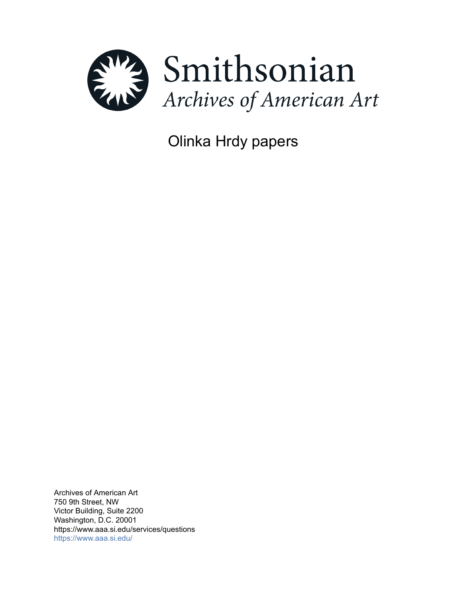

Olinka Hrdy papers

Archives of American Art 750 9th Street, NW Victor Building, Suite 2200 Washington, D.C. 20001 https://www.aaa.si.edu/services/questions <https://www.aaa.si.edu/>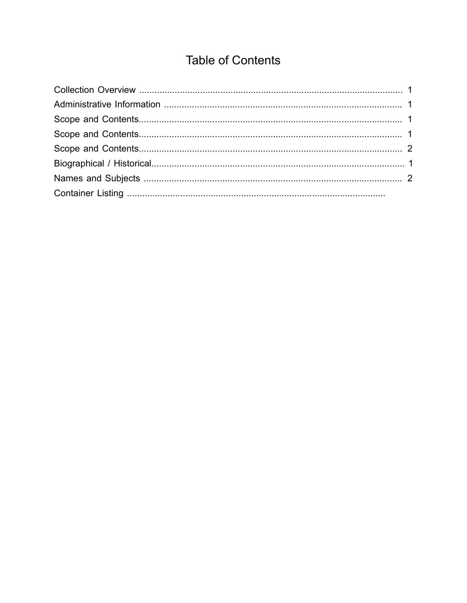# **Table of Contents**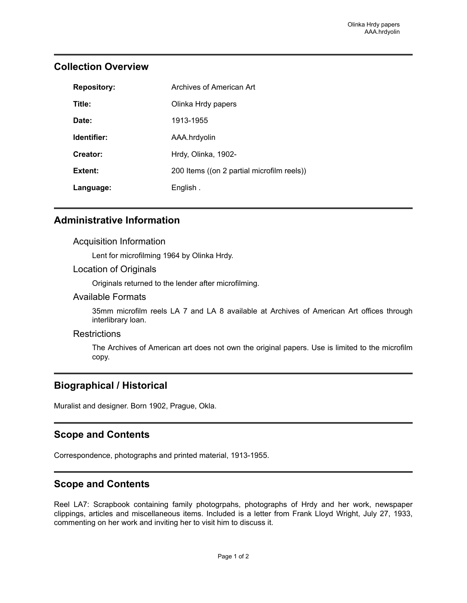| <b>Repository:</b> | Archives of American Art                   |
|--------------------|--------------------------------------------|
| Title:             | Olinka Hrdy papers                         |
| Date:              | 1913-1955                                  |
| Identifier:        | AAA.hrdyolin                               |
| Creator:           | Hrdy, Olinka, 1902-                        |
| Extent:            | 200 Items ((on 2 partial microfilm reels)) |
| Language:          | English.                                   |

## <span id="page-2-0"></span>**Collection Overview**

## <span id="page-2-1"></span>**Administrative Information**

#### Acquisition Information

Lent for microfilming 1964 by Olinka Hrdy.

#### Location of Originals

Originals returned to the lender after microfilming.

#### Available Formats

35mm microfilm reels LA 7 and LA 8 available at Archives of American Art offices through interlibrary loan.

#### **Restrictions**

The Archives of American art does not own the original papers. Use is limited to the microfilm copy.

## <span id="page-2-4"></span>**Biographical / Historical**

Muralist and designer. Born 1902, Prague, Okla.

## <span id="page-2-2"></span>**Scope and Contents**

Correspondence, photographs and printed material, 1913-1955.

## <span id="page-2-3"></span>**Scope and Contents**

Reel LA7: Scrapbook containing family photogrpahs, photographs of Hrdy and her work, newspaper clippings, articles and miscellaneous items. Included is a letter from Frank Lloyd Wright, July 27, 1933, commenting on her work and inviting her to visit him to discuss it.